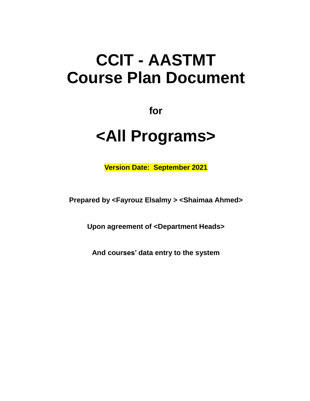# **CCIT - AASTMT Course Plan Document**

**for**

# **<All Programs>**

**Version Date: September 2021**

**Prepared by <Fayrouz Elsalmy > <Shaimaa Ahmed>**

**Upon agreement of <Department Heads>**

**And courses' data entry to the system**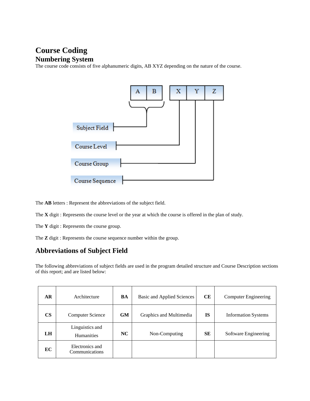### **Course Coding Numbering System**

The course code consists of five alphanumeric digits, AB XYZ depending on the nature of the course.



The **AB** letters : Represent the abbreviations of the subject field.

The **X** digit : Represents the course level or the year at which the course is offered in the plan of study.

The **Y** digit : Represents the course group.

The **Z** digit : Represents the course sequence number within the group.

#### **Abbreviations of Subject Field**

The following abbreviations of subject fields are used in the program detailed structure and Course Description sections of this report; and are listed below:

| AR              | Architecture                      | BA        | <b>Basic and Applied Sciences</b> | CE        | <b>Computer Engineering</b> |
|-----------------|-----------------------------------|-----------|-----------------------------------|-----------|-----------------------------|
| CS <sup>-</sup> | Computer Science                  | <b>GM</b> | Graphics and Multimedia           | <b>IS</b> | <b>Information Systems</b>  |
| LH              | Linguistics and<br>Humanities     | NC        | Non-Computing                     | <b>SE</b> | Software Engineering        |
| EC.             | Electronics and<br>Communications |           |                                   |           |                             |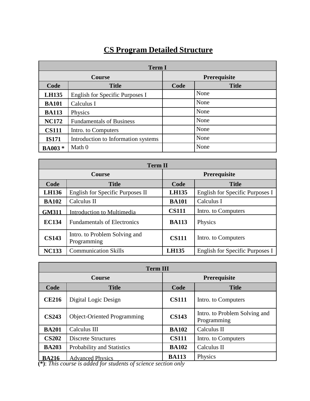### **CS Program Detailed Structure**

| <b>Term I</b> |                                     |                     |              |  |  |
|---------------|-------------------------------------|---------------------|--------------|--|--|
|               | <b>Course</b>                       | <b>Prerequisite</b> |              |  |  |
| Code          | <b>Title</b>                        | Code                | <b>Title</b> |  |  |
| <b>LH135</b>  | English for Specific Purposes I     |                     | None         |  |  |
| <b>BA101</b>  | Calculus I                          |                     | None         |  |  |
| <b>BA113</b>  | Physics                             |                     | None         |  |  |
| <b>NC172</b>  | <b>Fundamentals of Business</b>     |                     | None         |  |  |
| <b>CS111</b>  | Intro. to Computers                 |                     | None         |  |  |
| <b>IS171</b>  | Introduction to Information systems |                     | None         |  |  |
| <b>BA003*</b> | Math 0                              |                     | None         |  |  |

| <b>Term II</b> |                                              |                     |                                 |  |  |
|----------------|----------------------------------------------|---------------------|---------------------------------|--|--|
|                | <b>Course</b>                                | <b>Prerequisite</b> |                                 |  |  |
| Code           | <b>Title</b>                                 | Code                | <b>Title</b>                    |  |  |
| <b>LH136</b>   | English for Specific Purposes II             | <b>LH135</b>        | English for Specific Purposes I |  |  |
| <b>BA102</b>   | Calculus II                                  | <b>BA101</b>        | Calculus I                      |  |  |
| <b>GM311</b>   | <b>Introduction to Multimedia</b>            | <b>CS111</b>        | Intro. to Computers             |  |  |
| <b>EC134</b>   | <b>Fundamentals of Electronics</b>           | <b>BA113</b>        | Physics                         |  |  |
| <b>CS143</b>   | Intro. to Problem Solving and<br>Programming | <b>CS111</b>        | Intro. to Computers             |  |  |
| <b>NC133</b>   | <b>Communication Skills</b>                  | <b>LH135</b>        | English for Specific Purposes I |  |  |

| <b>Term III</b> |                                    |                     |                                              |  |
|-----------------|------------------------------------|---------------------|----------------------------------------------|--|
|                 | <b>Course</b>                      | <b>Prerequisite</b> |                                              |  |
| Code            | <b>Title</b>                       | Code                | <b>Title</b>                                 |  |
| <b>CE216</b>    | Digital Logic Design               | <b>CS111</b>        | Intro. to Computers                          |  |
| <b>CS243</b>    | <b>Object-Oriented Programming</b> | <b>CS143</b>        | Intro. to Problem Solving and<br>Programming |  |
| <b>BA201</b>    | Calculus III                       | <b>BA102</b>        | Calculus II                                  |  |
| <b>CS202</b>    | <b>Discrete Structures</b>         | <b>CS111</b>        | Intro. to Computers                          |  |
| <b>BA203</b>    | Probability and Statistics         | <b>BA102</b>        | Calculus II                                  |  |
| <b>BA216</b>    | <b>Advanced Physics</b>            | <b>BA113</b>        | Physics                                      |  |

**(\*)**: *This course is added for students of science section only*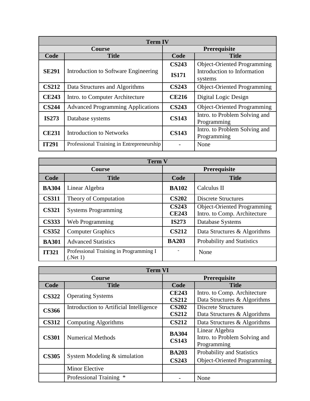| <b>Term IV</b> |                                           |              |                                              |  |
|----------------|-------------------------------------------|--------------|----------------------------------------------|--|
|                | <b>Course</b>                             |              | Prerequisite                                 |  |
| Code           | <b>Title</b>                              | Code         | <b>Title</b>                                 |  |
|                |                                           | <b>CS243</b> | <b>Object-Oriented Programming</b>           |  |
| <b>SE291</b>   | Introduction to Software Engineering      | <b>IS171</b> | Introduction to Information<br>systems       |  |
| <b>CS212</b>   | Data Structures and Algorithms            | <b>CS243</b> | <b>Object-Oriented Programming</b>           |  |
| <b>CE243</b>   | Intro. to Computer Architecture           | <b>CE216</b> | Digital Logic Design                         |  |
| <b>CS244</b>   | <b>Advanced Programming Applications</b>  | <b>CS243</b> | <b>Object-Oriented Programming</b>           |  |
| <b>IS273</b>   | Database systems                          | <b>CS143</b> | Intro. to Problem Solving and<br>Programming |  |
| <b>CE231</b>   | <b>Introduction to Networks</b>           | <b>CS143</b> | Intro. to Problem Solving and<br>Programming |  |
| <b>IT291</b>   | Professional Training in Entrepreneurship |              | None                                         |  |

|              | <b>Term V</b>                                     |                              |                                                                    |  |  |
|--------------|---------------------------------------------------|------------------------------|--------------------------------------------------------------------|--|--|
|              | <b>Course</b>                                     |                              | Prerequisite                                                       |  |  |
| Code         | <b>Title</b>                                      | Code                         | <b>Title</b>                                                       |  |  |
| <b>BA304</b> | Linear Algebra                                    | <b>BA102</b>                 | Calculus II                                                        |  |  |
| <b>CS311</b> | Theory of Computation                             | <b>CS202</b>                 | <b>Discrete Structures</b>                                         |  |  |
| <b>CS321</b> | <b>Systems Programming</b>                        | <b>CS243</b><br><b>CE243</b> | <b>Object-Oriented Programming</b><br>Intro. to Comp. Architecture |  |  |
| <b>CS333</b> | Web Programming                                   | <b>IS273</b>                 | Database Systems                                                   |  |  |
| <b>CS352</b> | <b>Computer Graphics</b>                          | <b>CS212</b>                 | Data Structures & Algorithms                                       |  |  |
| <b>BA301</b> | <b>Advanced Statistics</b>                        | <b>BA203</b>                 | Probability and Statistics                                         |  |  |
| <b>IT321</b> | Professional Training in Programming I<br>(Net 1) |                              | None                                                               |  |  |

| <b>Term VI</b> |                                         |                              |                                                                  |  |
|----------------|-----------------------------------------|------------------------------|------------------------------------------------------------------|--|
|                | <b>Course</b>                           |                              | Prerequisite                                                     |  |
| Code           | <b>Title</b>                            | Code                         | <b>Title</b>                                                     |  |
| <b>CS322</b>   | <b>Operating Systems</b>                | <b>CE243</b><br><b>CS212</b> | Intro. to Comp. Architecture<br>Data Structures & Algorithms     |  |
| <b>CS366</b>   | Introduction to Artificial Intelligence | <b>CS202</b><br><b>CS212</b> | <b>Discrete Structures</b><br>Data Structures & Algorithms       |  |
| <b>CS312</b>   | <b>Computing Algorithms</b>             | <b>CS212</b>                 | Data Structures & Algorithms                                     |  |
| <b>CS301</b>   | <b>Numerical Methods</b>                | <b>BA304</b><br><b>CS143</b> | Linear Algebra<br>Intro. to Problem Solving and<br>Programming   |  |
| <b>CS305</b>   | System Modeling $&$ simulation          | <b>BA203</b><br><b>CS243</b> | Probability and Statistics<br><b>Object-Oriented Programming</b> |  |
|                | <b>Minor Elective</b>                   |                              |                                                                  |  |
|                | Professional Training *                 |                              | None                                                             |  |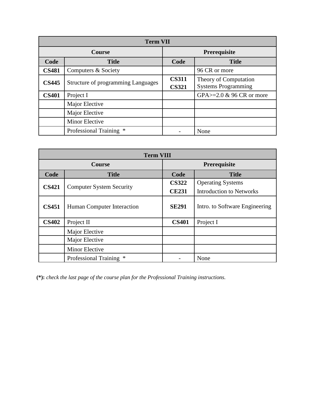| <b>Term VII</b> |                                           |                              |                                                     |  |
|-----------------|-------------------------------------------|------------------------------|-----------------------------------------------------|--|
|                 | <b>Course</b>                             | Prerequisite                 |                                                     |  |
| Code            | <b>Title</b>                              | Code                         | <b>Title</b>                                        |  |
| <b>CS481</b>    | Computers & Society                       |                              | 96 CR or more                                       |  |
| <b>CS445</b>    | <b>Structure of programming Languages</b> | <b>CS311</b><br><b>CS321</b> | Theory of Computation<br><b>Systems Programming</b> |  |
| <b>CS401</b>    | Project I                                 |                              | GPA $> = 2.0$ & 96 CR or more                       |  |
|                 | Major Elective                            |                              |                                                     |  |
|                 | Major Elective                            |                              |                                                     |  |
|                 | <b>Minor Elective</b>                     |                              |                                                     |  |
|                 | Professional Training *                   |                              | None                                                |  |

| <b>Term VIII</b> |                                   |              |                                 |  |
|------------------|-----------------------------------|--------------|---------------------------------|--|
|                  | <b>Course</b>                     | Prerequisite |                                 |  |
| Code             | <b>Title</b>                      | Code         | <b>Title</b>                    |  |
|                  | <b>Computer System Security</b>   | <b>CS322</b> | <b>Operating Systems</b>        |  |
| <b>CS421</b>     |                                   | <b>CE231</b> | <b>Introduction to Networks</b> |  |
| <b>CS451</b>     | Human Computer Interaction        | <b>SE291</b> | Intro. to Software Engineering  |  |
| <b>CS402</b>     | Project II                        | <b>CS401</b> | Project I                       |  |
|                  | Major Elective                    |              |                                 |  |
|                  | Major Elective                    |              |                                 |  |
|                  | <b>Minor Elective</b>             |              |                                 |  |
|                  | <b>Professional Training</b><br>∗ |              | None                            |  |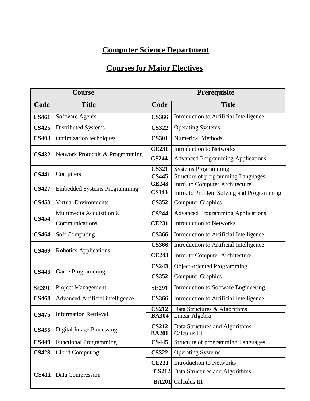## **Computer Science Department**

## **Courses for Major Electives**

|              | <b>Course</b>                           |                              | Prerequisite                                   |
|--------------|-----------------------------------------|------------------------------|------------------------------------------------|
| Code         | <b>Title</b>                            | Code                         | <b>Title</b>                                   |
| <b>CS461</b> | Software Agents                         | <b>CS366</b>                 | Introduction to Artificial Intelligence.       |
| <b>CS425</b> | Distributed Systems                     | <b>CS322</b>                 | <b>Operating Systems</b>                       |
| <b>CS403</b> | Optimization techniques                 | <b>CS301</b>                 | <b>Numerical Methods</b>                       |
| <b>CS432</b> | Network Protocols & Programming         | <b>CE231</b>                 | <b>Introduction to Networks</b>                |
|              |                                         | <b>CS244</b>                 | <b>Advanced Programming Applications</b>       |
| <b>CS441</b> | Compilers                               | <b>CS321</b>                 | <b>Systems Programming</b>                     |
|              |                                         | <b>CS445</b><br><b>CE243</b> | <b>Structure of programming Languages</b>      |
| <b>CS427</b> | <b>Embedded Systems Programming</b>     | <b>CS143</b>                 | Intro. to Computer Architecture                |
|              |                                         |                              | Intro. to Problem Solving and Programming      |
| <b>CS453</b> | <b>Virtual Environments</b>             | <b>CS352</b>                 | <b>Computer Graphics</b>                       |
| <b>CS454</b> | Multimedia Acquisition &                | <b>CS244</b>                 | <b>Advanced Programming Applications</b>       |
|              | Communications                          | <b>CE231</b>                 | <b>Introduction to Networks</b>                |
| <b>CS464</b> | <b>Soft Computing</b>                   | <b>CS366</b>                 | Introduction to Artificial Intelligence.       |
|              | <b>Robotics Applications</b>            | <b>CS366</b>                 | Introduction to Artificial Intelligence        |
| <b>CS469</b> |                                         | <b>CE243</b>                 | Intro. to Computer Architecture                |
|              | <b>Game Programming</b>                 | <b>CS243</b>                 | <b>Object-oriented Programming</b>             |
| <b>CS443</b> |                                         | <b>CS352</b>                 | <b>Computer Graphics</b>                       |
| <b>SE391</b> | Project Management                      | <b>SE291</b>                 | Introduction to Software Engineering           |
| <b>CS468</b> | <b>Advanced Artificial intelligence</b> | <b>CS366</b>                 | Introduction to Artificial Intelligence        |
|              |                                         | <b>CS212</b>                 | Data Structures & Algorithms                   |
|              | <b>CS475</b>   Information Retrieval    | <b>BA304</b>                 | Linear Algebra                                 |
| <b>CS455</b> | <b>Digital Image Processing</b>         | <b>CS212</b><br><b>BA201</b> | Data Structures and Algorithms<br>Calculus III |
| <b>CS449</b> | <b>Functional Programming</b>           | <b>CS445</b>                 | <b>Structure of programming Languages</b>      |
| <b>CS428</b> | <b>Cloud Computing</b>                  | <b>CS322</b>                 | <b>Operating Systems</b>                       |
|              |                                         | <b>CE231</b>                 | <b>Introduction to Networks</b>                |
| <b>CS411</b> | Data Compression                        | <b>CS212</b>                 | Data Structures and Algorithms                 |
|              |                                         | <b>BA201</b>                 | Calculus III                                   |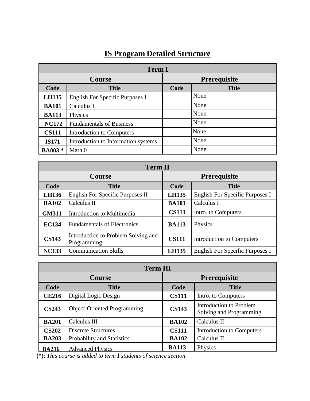## **IS Program Detailed Structure**

| <b>Term I</b>  |                                     |                     |              |  |
|----------------|-------------------------------------|---------------------|--------------|--|
|                | <b>Course</b>                       | <b>Prerequisite</b> |              |  |
| Code           | <b>Title</b>                        | Code                | <b>Title</b> |  |
| <b>LH135</b>   | English For Specific Purposes I     |                     | None         |  |
| <b>BA101</b>   | Calculus I                          |                     | None         |  |
| <b>BA113</b>   | Physics                             |                     | None         |  |
| <b>NC172</b>   | <b>Fundamentals of Business</b>     |                     | None         |  |
| <b>CS111</b>   | Introduction to Computers           |                     | None         |  |
| <b>IS171</b>   | Introduction to Information systems |                     | None         |  |
| <b>BA003</b> * | Math 0                              |                     | None         |  |

| <b>Term II</b> |                                                    |                     |                                 |  |
|----------------|----------------------------------------------------|---------------------|---------------------------------|--|
|                | <b>Course</b>                                      | <b>Prerequisite</b> |                                 |  |
| Code           | <b>Title</b>                                       | Code                | <b>Title</b>                    |  |
| <b>LH136</b>   | English For Specific Purposes II                   | <b>LH135</b>        | English For Specific Purposes I |  |
| <b>BA102</b>   | Calculus II                                        | <b>BA101</b>        | Calculus I                      |  |
| <b>GM311</b>   | Introduction to Multimedia                         | <b>CS111</b>        | Intro. to Computers             |  |
| <b>EC134</b>   | <b>Fundamentals of Electronics</b>                 | <b>BA113</b>        | Physics                         |  |
| <b>CS143</b>   | Introduction to Problem Solving and<br>Programming | <b>CS111</b>        | Introduction to Computers       |  |
| <b>NC133</b>   | <b>Communication Skills</b>                        | <b>LH135</b>        | English For Specific Purposes I |  |

| <b>Term III</b> |                                    |              |                                                           |
|-----------------|------------------------------------|--------------|-----------------------------------------------------------|
|                 | <b>Course</b>                      | Prerequisite |                                                           |
| Code            | <b>Title</b>                       | Code         | <b>Title</b>                                              |
| <b>CE216</b>    | Digital Logic Design               | <b>CS111</b> | Intro. to Computers                                       |
| <b>CS243</b>    | <b>Object-Oriented Programming</b> | <b>CS143</b> | <b>Introduction to Problem</b><br>Solving and Programming |
| <b>BA201</b>    | Calculus III                       | <b>BA102</b> | Calculus II                                               |
| <b>CS202</b>    | <b>Discrete Structures</b>         | <b>CS111</b> | Introduction to Computers                                 |
| <b>BA203</b>    | Probability and Statistics         | <b>BA102</b> | Calculus II                                               |
| <b>BA216</b>    | <b>Advanced Physics</b>            | <b>BA113</b> | Physics                                                   |

**(\*)**: *This course is added to term I students of science section.*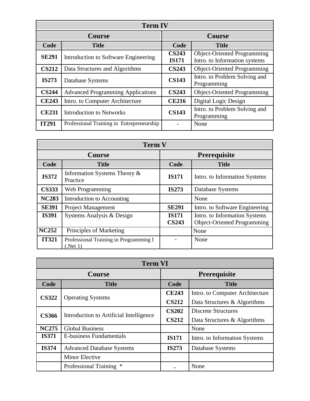| <b>Term IV</b> |                                           |                              |                                                                     |
|----------------|-------------------------------------------|------------------------------|---------------------------------------------------------------------|
|                | <b>Course</b>                             | <b>Course</b>                |                                                                     |
| Code           | <b>Title</b>                              | Code                         | <b>Title</b>                                                        |
| <b>SE291</b>   | Introduction to Software Engineering      | <b>CS243</b><br><b>IS171</b> | <b>Object-Oriented Programming</b><br>Intro. to Information systems |
| <b>CS212</b>   | Data Structures and Algorithms            | <b>CS243</b>                 | <b>Object-Oriented Programming</b>                                  |
| <b>IS273</b>   | Database Systems                          | <b>CS143</b>                 | Intro. to Problem Solving and<br>Programming                        |
| <b>CS244</b>   | <b>Advanced Programming Applications</b>  | <b>CS243</b>                 | <b>Object-Oriented Programming</b>                                  |
| <b>CE243</b>   | Intro. to Computer Architecture           | <b>CE216</b>                 | Digital Logic Design                                                |
| <b>CE231</b>   | <b>Introduction to Networks</b>           | <b>CS143</b>                 | Intro. to Problem Solving and<br>Programming                        |
| <b>IT291</b>   | Professional Training in Entrepreneurship |                              | None                                                                |

| <b>Term V</b> |                                                       |                              |                                                                     |
|---------------|-------------------------------------------------------|------------------------------|---------------------------------------------------------------------|
|               | <b>Course</b>                                         | <b>Prerequisite</b>          |                                                                     |
| Code          | <b>Title</b>                                          | Code                         | <b>Title</b>                                                        |
| <b>IS372</b>  | Information Systems Theory &<br>Practice              | <b>IS171</b>                 | Intro. to Information Systems                                       |
| <b>CS333</b>  | Web Programming                                       | <b>IS273</b>                 | Database Systems                                                    |
| <b>NC283</b>  | Introduction to Accounting                            |                              | None                                                                |
| <b>SE391</b>  | <b>Project Management</b>                             | <b>SE291</b>                 | Intro. to Software Engineering                                      |
| <b>IS391</b>  | Systems Analysis & Design                             | <b>IS171</b><br><b>CS243</b> | Intro. to Information Systems<br><b>Object-Oriented Programming</b> |
| <b>NC252</b>  | Principles of Marketing                               |                              | None                                                                |
| <b>IT321</b>  | Professional Training in Programming I<br>$($ .Net 1) |                              | None                                                                |

| <b>Term VI</b> |                                         |                     |                                 |
|----------------|-----------------------------------------|---------------------|---------------------------------|
|                | <b>Course</b>                           | <b>Prerequisite</b> |                                 |
| Code           | <b>Title</b>                            | Code                | <b>Title</b>                    |
|                |                                         | <b>CE243</b>        | Intro. to Computer Architecture |
| <b>CS322</b>   | <b>Operating Systems</b>                | <b>CS212</b>        | Data Structures & Algorithms    |
|                | Introduction to Artificial Intelligence | <b>CS202</b>        | <b>Discrete Structures</b>      |
| <b>CS366</b>   |                                         | <b>CS212</b>        | Data Structures & Algorithms    |
| <b>NC275</b>   | <b>Global Business</b>                  |                     | None                            |
| <b>IS371</b>   | <b>E-business Fundamentals</b>          | <b>IS171</b>        | Intro. to Information Systems   |
| <b>IS374</b>   | <b>Advanced Database Systems</b>        | <b>IS273</b>        | Database Systems                |
|                | <b>Minor Elective</b>                   |                     |                                 |
|                | Professional Training *                 |                     | None                            |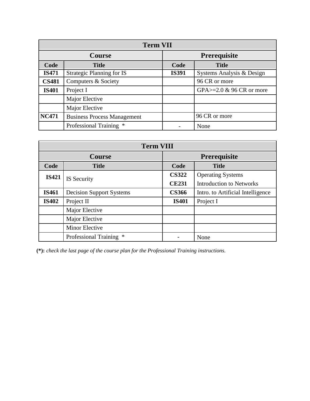| <b>Term VII</b>                      |                                    |              |                               |  |
|--------------------------------------|------------------------------------|--------------|-------------------------------|--|
| <b>Course</b><br><b>Prerequisite</b> |                                    |              |                               |  |
| Code                                 | <b>Title</b>                       | Code         | <b>Title</b>                  |  |
| <b>IS471</b>                         | <b>Strategic Planning for IS</b>   | <b>IS391</b> | Systems Analysis & Design     |  |
| <b>CS481</b>                         | Computers & Society                |              | 96 CR or more                 |  |
| <b>IS401</b>                         | Project I                          |              | GPA $> = 2.0$ & 96 CR or more |  |
|                                      | Major Elective                     |              |                               |  |
|                                      | Major Elective                     |              |                               |  |
| <b>NC471</b>                         | <b>Business Process Management</b> |              | 96 CR or more                 |  |
|                                      | Professional Training *            |              | None                          |  |

| <b>Term VIII</b> |                                 |                     |                                   |
|------------------|---------------------------------|---------------------|-----------------------------------|
|                  | <b>Course</b>                   | <b>Prerequisite</b> |                                   |
| Code             | <b>Title</b>                    | Code                | <b>Title</b>                      |
| <b>IS421</b>     | IS Security                     | <b>CS322</b>        | <b>Operating Systems</b>          |
|                  |                                 | <b>CE231</b>        | <b>Introduction to Networks</b>   |
| <b>IS461</b>     | <b>Decision Support Systems</b> | <b>CS366</b>        | Intro. to Artificial Intelligence |
| <b>IS402</b>     | Project II                      | <b>IS401</b>        | Project I                         |
|                  | Major Elective                  |                     |                                   |
|                  | Major Elective                  |                     |                                   |
|                  | <b>Minor Elective</b>           |                     |                                   |
|                  | Professional Training *         |                     | None                              |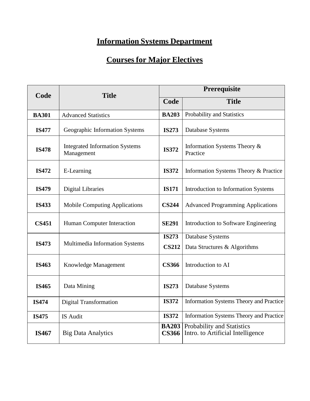## **Information Systems Department**

## **Courses for Major Electives**

| Code         | <b>Title</b>                                        | Prerequisite                 |                                                                 |  |
|--------------|-----------------------------------------------------|------------------------------|-----------------------------------------------------------------|--|
|              |                                                     | Code                         | <b>Title</b>                                                    |  |
| <b>BA301</b> | <b>Advanced Statistics</b>                          | <b>BA203</b>                 | Probability and Statistics                                      |  |
| <b>IS477</b> | Geographic Information Systems                      | <b>IS273</b>                 | Database Systems                                                |  |
| <b>IS478</b> | <b>Integrated Information Systems</b><br>Management | <b>IS372</b>                 | Information Systems Theory &<br>Practice                        |  |
| <b>IS472</b> | E-Learning                                          | <b>IS372</b>                 | Information Systems Theory & Practice                           |  |
| <b>IS479</b> | <b>Digital Libraries</b>                            | <b>IS171</b>                 | Introduction to Information Systems                             |  |
| <b>IS433</b> | <b>Mobile Computing Applications</b>                | <b>CS244</b>                 | <b>Advanced Programming Applications</b>                        |  |
| <b>CS451</b> | Human Computer Interaction                          | <b>SE291</b>                 | Introduction to Software Engineering                            |  |
| <b>IS473</b> | Multimedia Information Systems                      | <b>IS273</b><br><b>CS212</b> | Database Systems<br>Data Structures & Algorithms                |  |
| <b>IS463</b> | Knowledge Management                                | <b>CS366</b>                 | Introduction to AI                                              |  |
| <b>IS465</b> | Data Mining                                         | <b>IS273</b>                 | Database Systems                                                |  |
| <b>IS474</b> | <b>Digital Transformation</b>                       | <b>IS372</b>                 | <b>Information Systems Theory and Practice</b>                  |  |
| <b>IS475</b> | <b>IS Audit</b>                                     | <b>IS372</b>                 | <b>Information Systems Theory and Practice</b>                  |  |
| <b>IS467</b> | <b>Big Data Analytics</b>                           | <b>BA203</b><br><b>CS366</b> | Probability and Statistics<br>Intro. to Artificial Intelligence |  |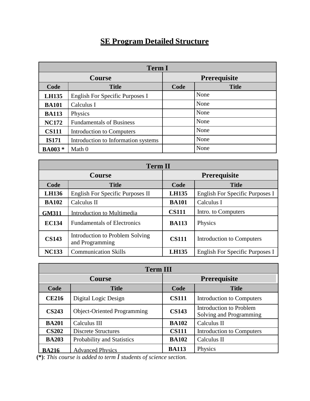## **SE Program Detailed Structure**

| <b>Term I</b> |                                     |                     |              |
|---------------|-------------------------------------|---------------------|--------------|
|               | <b>Course</b>                       | <b>Prerequisite</b> |              |
| Code          | <b>Title</b>                        | Code                | <b>Title</b> |
| <b>LH135</b>  | English For Specific Purposes I     |                     | None         |
| <b>BA101</b>  | Calculus I                          |                     | None         |
| <b>BA113</b>  | Physics                             |                     | None         |
| <b>NC172</b>  | <b>Fundamentals of Business</b>     |                     | None         |
| <b>CS111</b>  | Introduction to Computers           |                     | None         |
| <b>IS171</b>  | Introduction to Information systems |                     | None         |
| <b>BA003*</b> | Math 0                              |                     | None         |

| <b>Term II</b> |                                                    |                      |                                 |  |
|----------------|----------------------------------------------------|----------------------|---------------------------------|--|
|                | <b>Course</b>                                      | <b>Prerequisite</b>  |                                 |  |
| Code           | <b>Title</b>                                       | Code<br><b>Title</b> |                                 |  |
| <b>LH136</b>   | English For Specific Purposes II                   | <b>LH135</b>         | English For Specific Purposes I |  |
| <b>BA102</b>   | Calculus II                                        | <b>BA101</b>         | Calculus I                      |  |
| <b>GM311</b>   | <b>Introduction to Multimedia</b>                  | <b>CS111</b>         | Intro. to Computers             |  |
| <b>EC134</b>   | <b>Fundamentals of Electronics</b>                 | <b>BA113</b>         | Physics                         |  |
| <b>CS143</b>   | Introduction to Problem Solving<br>and Programming | <b>CS111</b>         | Introduction to Computers       |  |
| <b>NC133</b>   | <b>Communication Skills</b>                        | <b>LH135</b>         | English For Specific Purposes I |  |

| <b>Term III</b> |                                    |                     |                                                    |
|-----------------|------------------------------------|---------------------|----------------------------------------------------|
| <b>Course</b>   |                                    | <b>Prerequisite</b> |                                                    |
| Code            | <b>Title</b>                       | Code                | <b>Title</b>                                       |
| <b>CE216</b>    | Digital Logic Design               | <b>CS111</b>        | Introduction to Computers                          |
| <b>CS243</b>    | <b>Object-Oriented Programming</b> | <b>CS143</b>        | Introduction to Problem<br>Solving and Programming |
| <b>BA201</b>    | Calculus III                       | <b>BA102</b>        | Calculus II                                        |
| <b>CS202</b>    | <b>Discrete Structures</b>         | <b>CS111</b>        | <b>Introduction to Computers</b>                   |
| <b>BA203</b>    | Probability and Statistics         | <b>BA102</b>        | Calculus II                                        |
| <b>BA216</b>    | <b>Advanced Physics</b>            | <b>BA113</b>        | Physics                                            |

**(\*)**: *This course is added to term I students of science section.*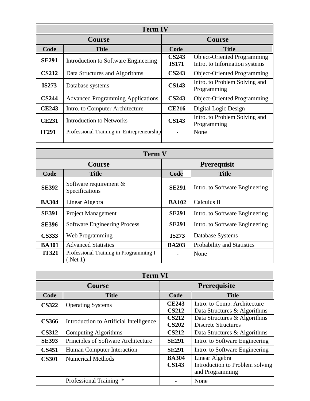| <b>Term IV</b> |                                           |                              |                                                                     |
|----------------|-------------------------------------------|------------------------------|---------------------------------------------------------------------|
|                | <b>Course</b>                             |                              | <b>Course</b>                                                       |
| Code           | <b>Title</b>                              | Code                         | <b>Title</b>                                                        |
| <b>SE291</b>   | Introduction to Software Engineering      | <b>CS243</b><br><b>IS171</b> | <b>Object-Oriented Programming</b><br>Intro. to Information systems |
| <b>CS212</b>   | Data Structures and Algorithms            | <b>CS243</b>                 | <b>Object-Oriented Programming</b>                                  |
| <b>IS273</b>   | Database systems                          | <b>CS143</b>                 | Intro. to Problem Solving and<br>Programming                        |
| <b>CS244</b>   | <b>Advanced Programming Applications</b>  | <b>CS243</b>                 | <b>Object-Oriented Programming</b>                                  |
| <b>CE243</b>   | Intro. to Computer Architecture           | <b>CE216</b>                 | Digital Logic Design                                                |
| <b>CE231</b>   | <b>Introduction to Networks</b>           | <b>CS143</b>                 | Intro. to Problem Solving and<br>Programming                        |
| <b>IT291</b>   | Professional Training in Entrepreneurship |                              | None                                                                |

| <b>Term V</b> |                                                   |              |                                |
|---------------|---------------------------------------------------|--------------|--------------------------------|
|               | <b>Course</b>                                     |              | <b>Prerequisit</b>             |
| Code          | <b>Title</b>                                      | Code         | <b>Title</b>                   |
| <b>SE392</b>  | Software requirement &<br>Specifications          | <b>SE291</b> | Intro. to Software Engineering |
| <b>BA304</b>  | Linear Algebra                                    | <b>BA102</b> | Calculus II                    |
| <b>SE391</b>  | Project Management                                | <b>SE291</b> | Intro. to Software Engineering |
| <b>SE396</b>  | <b>Software Engineering Process</b>               | <b>SE291</b> | Intro. to Software Engineering |
| <b>CS333</b>  | Web Programming                                   | <b>IS273</b> | Database Systems               |
| <b>BA301</b>  | <b>Advanced Statistics</b>                        | <b>BA203</b> | Probability and Statistics     |
| <b>IT321</b>  | Professional Training in Programming I<br>(Net 1) |              | None                           |

| <b>Term VI</b> |                                         |                              |                                                                      |
|----------------|-----------------------------------------|------------------------------|----------------------------------------------------------------------|
|                | <b>Course</b>                           |                              | <b>Prerequisite</b>                                                  |
| Code           | <b>Title</b>                            | Code                         | <b>Title</b>                                                         |
| <b>CS322</b>   | <b>Operating Systems</b>                | <b>CE243</b><br><b>CS212</b> | Intro. to Comp. Architecture<br>Data Structures & Algorithms         |
| <b>CS366</b>   | Introduction to Artificial Intelligence | <b>CS212</b><br><b>CS202</b> | Data Structures & Algorithms<br><b>Discrete Structures</b>           |
| <b>CS312</b>   | <b>Computing Algorithms</b>             | <b>CS212</b>                 | Data Structures & Algorithms                                         |
| <b>SE393</b>   | Principles of Software Architecture     | <b>SE291</b>                 | Intro. to Software Engineering                                       |
| <b>CS451</b>   | Human Computer Interaction              | <b>SE291</b>                 | Intro. to Software Engineering                                       |
| <b>CS301</b>   | <b>Numerical Methods</b>                | <b>BA304</b><br><b>CS143</b> | Linear Algebra<br>Introduction to Problem solving<br>and Programming |
|                | Professional Training *                 |                              | None                                                                 |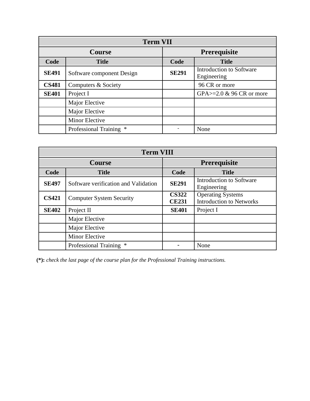| <b>Term VII</b> |                           |              |                                         |
|-----------------|---------------------------|--------------|-----------------------------------------|
|                 | <b>Course</b>             | Prerequisite |                                         |
| Code            | <b>Title</b>              | Code         | <b>Title</b>                            |
| <b>SE491</b>    | Software component Design | <b>SE291</b> | Introduction to Software<br>Engineering |
| <b>CS481</b>    | Computers & Society       |              | 96 CR or more                           |
| <b>SE401</b>    | Project I                 |              | GPA $> = 2.0$ & 96 CR or more           |
|                 | Major Elective            |              |                                         |
|                 | Major Elective            |              |                                         |
|                 | Minor Elective            |              |                                         |
|                 | Professional Training *   |              | None                                    |

| <b>Term VIII</b> |                                      |                              |                                                             |
|------------------|--------------------------------------|------------------------------|-------------------------------------------------------------|
| <b>Course</b>    |                                      | <b>Prerequisite</b>          |                                                             |
| Code             | <b>Title</b>                         | Code                         | <b>Title</b>                                                |
| <b>SE497</b>     | Software verification and Validation | <b>SE291</b>                 | Introduction to Software<br>Engineering                     |
| <b>CS421</b>     | <b>Computer System Security</b>      | <b>CS322</b><br><b>CE231</b> | <b>Operating Systems</b><br><b>Introduction to Networks</b> |
| <b>SE402</b>     | Project II                           | <b>SE401</b>                 | Project I                                                   |
|                  | Major Elective                       |                              |                                                             |
|                  | Major Elective                       |                              |                                                             |
|                  | <b>Minor Elective</b>                |                              |                                                             |
|                  | <b>Professional Training</b>         |                              | None                                                        |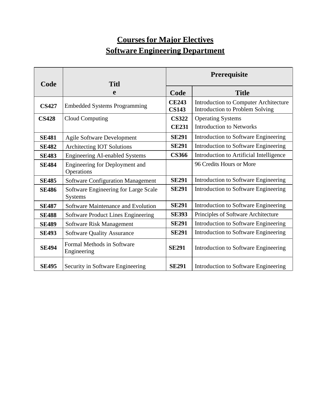## **Courses for Major Electives Software Engineering Department**

| Code         | <b>Titl</b>                                            | Prerequisite                 |                                                                                        |  |
|--------------|--------------------------------------------------------|------------------------------|----------------------------------------------------------------------------------------|--|
|              | e                                                      | Code                         | <b>Title</b>                                                                           |  |
| <b>CS427</b> | <b>Embedded Systems Programming</b>                    | <b>CE243</b><br><b>CS143</b> | <b>Introduction to Computer Architecture</b><br><b>Introduction to Problem Solving</b> |  |
| <b>CS428</b> | <b>Cloud Computing</b>                                 | <b>CS322</b><br><b>CE231</b> | <b>Operating Systems</b><br><b>Introduction to Networks</b>                            |  |
| <b>SE481</b> | Agile Software Development                             | <b>SE291</b>                 | Introduction to Software Engineering                                                   |  |
| <b>SE482</b> | Architecting IOT Solutions                             | <b>SE291</b>                 | Introduction to Software Engineering                                                   |  |
| <b>SE483</b> | <b>Engineering AI-enabled Systems</b>                  | <b>CS366</b>                 | Introduction to Artificial Intelligence                                                |  |
| <b>SE484</b> | Engineering for Deployment and<br>Operations           |                              | 96 Credits Hours or More                                                               |  |
| <b>SE485</b> | <b>Software Configuration Management</b>               | <b>SE291</b>                 | Introduction to Software Engineering                                                   |  |
| <b>SE486</b> | Software Engineering for Large Scale<br><b>Systems</b> | <b>SE291</b>                 | Introduction to Software Engineering                                                   |  |
| <b>SE487</b> | Software Maintenance and Evolution                     | <b>SE291</b>                 | Introduction to Software Engineering                                                   |  |
| <b>SE488</b> | <b>Software Product Lines Engineering</b>              | <b>SE393</b>                 | Principles of Software Architecture                                                    |  |
| <b>SE489</b> | Software Risk Management                               | <b>SE291</b>                 | Introduction to Software Engineering                                                   |  |
| <b>SE493</b> | <b>Software Quality Assurance</b>                      | <b>SE291</b>                 | Introduction to Software Engineering                                                   |  |
| <b>SE494</b> | <b>Formal Methods in Software</b><br>Engineering       | <b>SE291</b>                 | Introduction to Software Engineering                                                   |  |
| <b>SE495</b> | Security in Software Engineering                       | <b>SE291</b>                 | Introduction to Software Engineering                                                   |  |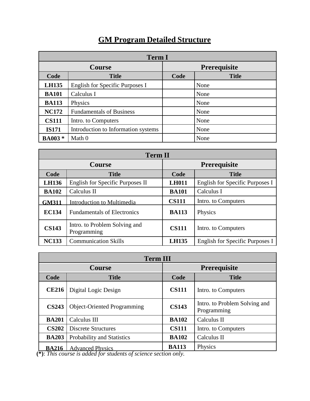## **GM Program Detailed Structure**

| <b>Term I</b>  |                                     |      |                     |
|----------------|-------------------------------------|------|---------------------|
|                | <b>Course</b>                       |      | <b>Prerequisite</b> |
| Code           | <b>Title</b>                        | Code | <b>Title</b>        |
| <b>LH135</b>   | English for Specific Purposes I     |      | None                |
| <b>BA101</b>   | Calculus I                          |      | None                |
| <b>BA113</b>   | Physics                             |      | None                |
| <b>NC172</b>   | <b>Fundamentals of Business</b>     |      | None                |
| <b>CS111</b>   | Intro. to Computers                 |      | None                |
| <b>IS171</b>   | Introduction to Information systems |      | None                |
| <b>BA003</b> * | Math 0                              |      | None                |

| <b>Term II</b> |                                              |                     |                                 |
|----------------|----------------------------------------------|---------------------|---------------------------------|
|                | <b>Course</b>                                | <b>Prerequisite</b> |                                 |
| Code           | <b>Title</b>                                 | Code                | <b>Title</b>                    |
| <b>LH136</b>   | English for Specific Purposes II             | <b>LH011</b>        | English for Specific Purposes I |
| <b>BA102</b>   | Calculus II                                  | <b>BA101</b>        | Calculus I                      |
| <b>GM311</b>   | Introduction to Multimedia                   | <b>CS111</b>        | Intro. to Computers             |
| <b>EC134</b>   | <b>Fundamentals of Electronics</b>           | <b>BA113</b>        | Physics                         |
| <b>CS143</b>   | Intro. to Problem Solving and<br>Programming | <b>CS111</b>        | Intro. to Computers             |
| <b>NC133</b>   | <b>Communication Skills</b>                  | <b>LH135</b>        | English for Specific Purposes I |

| <b>Term III</b> |                                    |                     |                                              |
|-----------------|------------------------------------|---------------------|----------------------------------------------|
|                 | <b>Course</b>                      | <b>Prerequisite</b> |                                              |
| Code            | <b>Title</b>                       | Code                | <b>Title</b>                                 |
| <b>CE216</b>    | Digital Logic Design               | <b>CS111</b>        | Intro. to Computers                          |
| <b>CS243</b>    | <b>Object-Oriented Programming</b> | <b>CS143</b>        | Intro. to Problem Solving and<br>Programming |
| <b>BA201</b>    | Calculus III                       | <b>BA102</b>        | Calculus II                                  |
| <b>CS202</b>    | <b>Discrete Structures</b>         | <b>CS111</b>        | Intro. to Computers                          |
| <b>BA203</b>    | Probability and Statistics         | <b>BA102</b>        | Calculus II                                  |
| <b>BA216</b>    | <b>Advanced Physics</b>            | <b>BA113</b>        | Physics                                      |

**(\*)**: *This course is added for students of science section only.*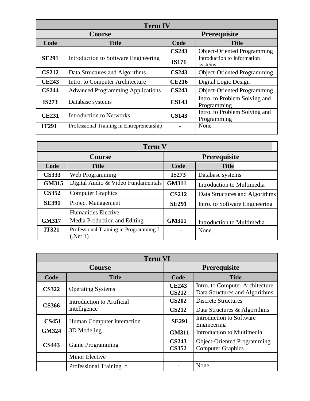| <b>Term IV</b> |                                           |              |                                              |
|----------------|-------------------------------------------|--------------|----------------------------------------------|
|                | <b>Course</b>                             |              | <b>Prerequisite</b>                          |
| Code           | <b>Title</b>                              | Code         | <b>Title</b>                                 |
|                |                                           | <b>CS243</b> | <b>Object-Oriented Programming</b>           |
| <b>SE291</b>   | Introduction to Software Engineering      | <b>IS171</b> | Introduction to Information<br>systems       |
| <b>CS212</b>   | Data Structures and Algorithms            | <b>CS243</b> | <b>Object-Oriented Programming</b>           |
| <b>CE243</b>   | Intro. to Computer Architecture           | <b>CE216</b> | Digital Logic Design                         |
| <b>CS244</b>   | <b>Advanced Programming Applications</b>  | <b>CS243</b> | <b>Object-Oriented Programming</b>           |
| <b>IS273</b>   | Database systems                          | <b>CS143</b> | Intro. to Problem Solving and<br>Programming |
| <b>CE231</b>   | <b>Introduction to Networks</b>           | <b>CS143</b> | Intro. to Problem Solving and<br>Programming |
| <b>IT291</b>   | Professional Training in Entrepreneurship |              | None                                         |

| <b>Term V</b> |                                                   |                     |                                |
|---------------|---------------------------------------------------|---------------------|--------------------------------|
|               | Course                                            | <b>Prerequisite</b> |                                |
| Code          | <b>Title</b>                                      | Code                | <b>Title</b>                   |
| <b>CS333</b>  | Web Programming                                   | <b>IS273</b>        | Database systems               |
| <b>GM315</b>  | Digital Audio & Video Fundamentals                | <b>GM311</b>        | Introduction to Multimedia     |
| <b>CS352</b>  | <b>Computer Graphics</b>                          | <b>CS212</b>        | Data Structures and Algorithms |
| <b>SE391</b>  | <b>Project Management</b>                         | <b>SE291</b>        | Intro. to Software Engineering |
|               | <b>Humanities Elective</b>                        |                     |                                |
| <b>GM317</b>  | Media Production and Editing                      | <b>GM311</b>        | Introduction to Multimedia     |
| <b>IT321</b>  | Professional Training in Programming I<br>(Met 1) |                     | None                           |

| <b>Term VI</b> |                                            |                              |                                                                   |
|----------------|--------------------------------------------|------------------------------|-------------------------------------------------------------------|
|                | <b>Course</b>                              | <b>Prerequisite</b>          |                                                                   |
| Code           | <b>Title</b>                               | Code                         | <b>Title</b>                                                      |
| <b>CS322</b>   | <b>Operating Systems</b>                   | <b>CE243</b><br><b>CS212</b> | Intro. to Computer Architecture<br>Data Structures and Algorithms |
| <b>CS366</b>   | Introduction to Artificial<br>Intelligence | <b>CS202</b>                 | <b>Discrete Structures</b>                                        |
|                |                                            | <b>CS212</b>                 | Data Structures & Algorithms                                      |
| <b>CS451</b>   | Human Computer Interaction                 | <b>SE291</b>                 | Introduction to Software<br>Engineering                           |
| <b>GM324</b>   | 3D Modeling                                | <b>GM311</b>                 | Introduction to Multimedia                                        |
| <b>CS443</b>   | <b>Game Programming</b>                    | <b>CS243</b><br><b>CS352</b> | <b>Object-Oriented Programming</b><br><b>Computer Graphics</b>    |
|                | <b>Minor Elective</b>                      |                              |                                                                   |
|                | Professional Training *                    |                              | None                                                              |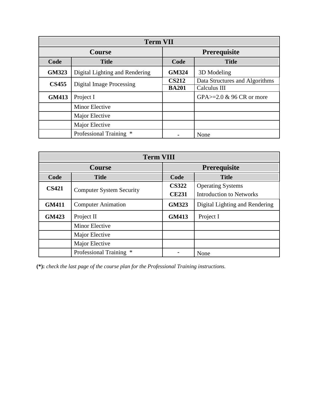| <b>Term VII</b> |                                 |              |                                |
|-----------------|---------------------------------|--------------|--------------------------------|
|                 | <b>Course</b>                   |              | <b>Prerequisite</b>            |
| Code            | <b>Title</b>                    | Code         | <b>Title</b>                   |
| <b>GM323</b>    | Digital Lighting and Rendering  | <b>GM324</b> | 3D Modeling                    |
| <b>CS455</b>    | <b>Digital Image Processing</b> | <b>CS212</b> | Data Structures and Algorithms |
|                 |                                 | <b>BA201</b> | Calculus III                   |
| <b>GM413</b>    | Project I                       |              | GPA $> = 2.0$ & 96 CR or more  |
|                 | <b>Minor Elective</b>           |              |                                |
|                 | Major Elective                  |              |                                |
|                 | Major Elective                  |              |                                |
|                 | Professional Training *         |              | None                           |

| <b>Term VIII</b> |                                 |                              |                                                             |
|------------------|---------------------------------|------------------------------|-------------------------------------------------------------|
|                  | <b>Course</b>                   | <b>Prerequisite</b>          |                                                             |
| Code             | <b>Title</b>                    | Code                         | <b>Title</b>                                                |
| <b>CS421</b>     | <b>Computer System Security</b> | <b>CS322</b><br><b>CE231</b> | <b>Operating Systems</b><br><b>Introduction to Networks</b> |
| <b>GM411</b>     | <b>Computer Animation</b>       | <b>GM323</b>                 | Digital Lighting and Rendering                              |
| <b>GM423</b>     | Project II                      | <b>GM413</b>                 | Project I                                                   |
|                  | <b>Minor Elective</b>           |                              |                                                             |
|                  | Major Elective                  |                              |                                                             |
|                  | Major Elective                  |                              |                                                             |
|                  | Professional Training *         |                              | None                                                        |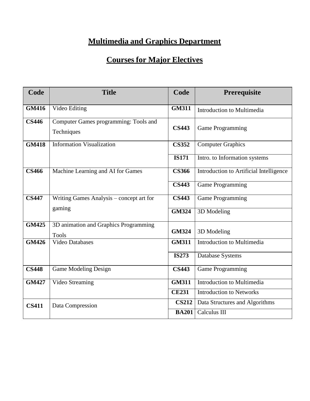## **Multimedia and Graphics Department**

## **Courses for Major Electives**

| Code         | <b>Title</b>                                          | Code                       | Prerequisite                            |
|--------------|-------------------------------------------------------|----------------------------|-----------------------------------------|
| <b>GM416</b> | Video Editing                                         | <b>GM311</b>               | Introduction to Multimedia              |
| <b>CS446</b> | Computer Games programming: Tools and<br>Techniques   | <b>CS443</b>               | <b>Game Programming</b>                 |
| <b>GM418</b> | <b>Information Visualization</b>                      | <b>CS352</b>               | <b>Computer Graphics</b>                |
|              |                                                       | <b>IS171</b>               | Intro. to Information systems           |
| <b>CS466</b> | Machine Learning and AI for Games                     | <b>CS366</b>               | Introduction to Artificial Intelligence |
|              |                                                       | <b>CS443</b>               | <b>Game Programming</b>                 |
| <b>CS447</b> | Writing Games Analysis - concept art for              | $\overline{\text{C}}$ S443 | <b>Game Programming</b>                 |
|              | gaming                                                | <b>GM324</b>               | 3D Modeling                             |
| <b>GM425</b> | 3D animation and Graphics Programming<br><b>Tools</b> | <b>GM324</b>               | 3D Modeling                             |
| <b>GM426</b> | <b>Video Databases</b>                                | <b>GM311</b>               | Introduction to Multimedia              |
|              |                                                       | <b>IS273</b>               | Database Systems                        |
| <b>CS448</b> | <b>Game Modeling Design</b>                           | <b>CS443</b>               | <b>Game Programming</b>                 |
| <b>GM427</b> | Video Streaming                                       | <b>GM311</b>               | <b>Introduction to Multimedia</b>       |
|              |                                                       | <b>CE231</b>               | <b>Introduction to Networks</b>         |
| <b>CS411</b> | Data Compression                                      | <b>CS212</b>               | Data Structures and Algorithms          |
|              |                                                       | <b>BA201</b>               | Calculus III                            |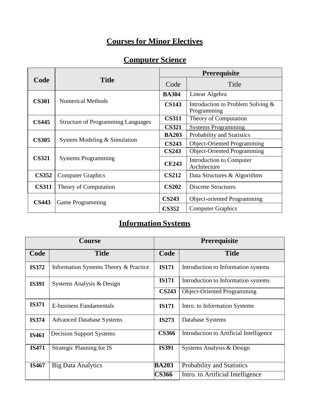## **Courses for Minor Electives**

## **Computer Science**

|              | <b>Title</b>                              | <b>Prerequisite</b> |                                                     |
|--------------|-------------------------------------------|---------------------|-----------------------------------------------------|
| Code         |                                           | Code                | Title                                               |
|              | <b>Numerical Methods</b>                  | <b>BA304</b>        | Linear Algebra                                      |
| <b>CS301</b> |                                           | <b>CS143</b>        | Introduction to Problem Solving $\&$<br>Programming |
| <b>CS445</b> | <b>Structure of Programming Languages</b> | <b>CS311</b>        | Theory of Computation                               |
|              |                                           | <b>CS321</b>        | <b>Systems Programming</b>                          |
|              | System Modeling & Simulation              | <b>BA203</b>        | Probability and Statistics                          |
| <b>CS305</b> |                                           | <b>CS243</b>        | <b>Object-Oriented Programming</b>                  |
| <b>CS321</b> | <b>Systems Programming</b>                | <b>CS243</b>        | <b>Object-Oriented Programming</b>                  |
|              |                                           | <b>CE243</b>        | Introduction to Computer<br>Architecture            |
| <b>CS352</b> | <b>Computer Graphics</b>                  | <b>CS212</b>        | Data Structures & Algorithms                        |
| <b>CS311</b> | Theory of Computation                     | <b>CS202</b>        | <b>Discrete Structures</b>                          |
| <b>CS443</b> | <b>Game Programming</b>                   | <b>CS243</b>        | <b>Object-oriented Programming</b>                  |
|              |                                           | <b>CS352</b>        | <b>Computer Graphics</b>                            |

## **Information Systems**

| Course       |                                       | Prerequisite |                                         |
|--------------|---------------------------------------|--------------|-----------------------------------------|
| Code         | <b>Title</b>                          | Code         | <b>Title</b>                            |
| <b>IS372</b> | Information Systems Theory & Practice | <b>IS171</b> | Introduction to Information systems     |
| <b>IS391</b> | Systems Analysis & Design             | <b>IS171</b> | Introduction to Information systems     |
|              |                                       | <b>CS243</b> | <b>Object-Oriented Programming</b>      |
| <b>IS371</b> | E-business Fundamentals               | <b>IS171</b> | Intro. to Information Systems           |
| <b>IS374</b> | <b>Advanced Database Systems</b>      | <b>IS273</b> | Database Systems                        |
| <b>IS461</b> | <b>Decision Support Systems</b>       | <b>CS366</b> | Introduction to Artificial Intelligence |
| <b>IS471</b> | <b>Strategic Planning for IS</b>      | <b>IS391</b> | Systems Analysis & Design               |
| <b>IS467</b> | <b>Big Data Analytics</b>             | <b>BA203</b> | Probability and Statistics              |
|              |                                       | <b>CS366</b> | Intro. to Artificial Intelligence       |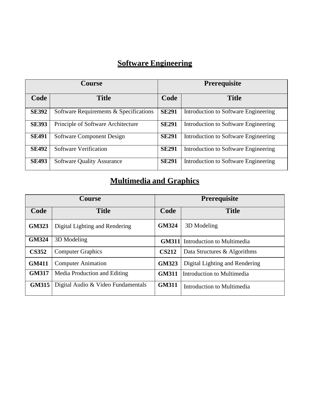## **Software Engineering**

| <b>Course</b> |                                        | <b>Prerequisite</b> |                                      |
|---------------|----------------------------------------|---------------------|--------------------------------------|
| Code          | <b>Title</b>                           | Code                | <b>Title</b>                         |
| <b>SE392</b>  | Software Requirements & Specifications | <b>SE291</b>        | Introduction to Software Engineering |
| <b>SE393</b>  | Principle of Software Architecture     | <b>SE291</b>        | Introduction to Software Engineering |
| <b>SE491</b>  | Software Component Design              | <b>SE291</b>        | Introduction to Software Engineering |
| <b>SE492</b>  | <b>Software Verification</b>           | <b>SE291</b>        | Introduction to Software Engineering |
| <b>SE493</b>  | <b>Software Quality Assurance</b>      | <b>SE291</b>        | Introduction to Software Engineering |

## **Multimedia and Graphics**

| Course       |                                    | <b>Prerequisite</b> |                                |
|--------------|------------------------------------|---------------------|--------------------------------|
| Code         | <b>Title</b>                       | Code                | <b>Title</b>                   |
| <b>GM323</b> | Digital Lighting and Rendering     | <b>GM324</b>        | 3D Modeling                    |
| <b>GM324</b> | 3D Modeling                        | <b>GM311</b>        | Introduction to Multimedia     |
| <b>CS352</b> | <b>Computer Graphics</b>           | <b>CS212</b>        | Data Structures & Algorithms   |
| <b>GM411</b> | <b>Computer Animation</b>          | <b>GM323</b>        | Digital Lighting and Rendering |
| <b>GM317</b> | Media Production and Editing       | <b>GM311</b>        | Introduction to Multimedia     |
| <b>GM315</b> | Digital Audio & Video Fundamentals | <b>GM311</b>        | Introduction to Multimedia     |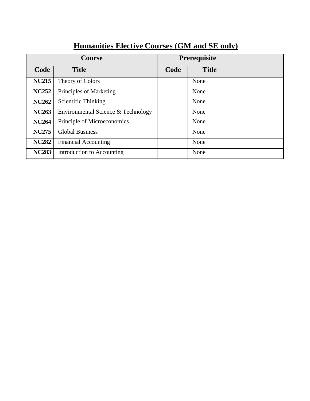## **Humanities Elective Courses (GM and SE only)**

| <b>Course</b> |                                    |      | <b>Prerequisite</b> |
|---------------|------------------------------------|------|---------------------|
| Code          | <b>Title</b>                       | Code | <b>Title</b>        |
| <b>NC215</b>  | Theory of Colors                   |      | None                |
| <b>NC252</b>  | Principles of Marketing            |      | None                |
| <b>NC262</b>  | Scientific Thinking                |      | None                |
| <b>NC263</b>  | Environmental Science & Technology |      | None                |
| <b>NC264</b>  | Principle of Microeconomics        |      | None                |
| <b>NC275</b>  | <b>Global Business</b>             |      | None                |
| <b>NC282</b>  | <b>Financial Accounting</b>        |      | None                |
| <b>NC283</b>  | Introduction to Accounting         |      | None                |